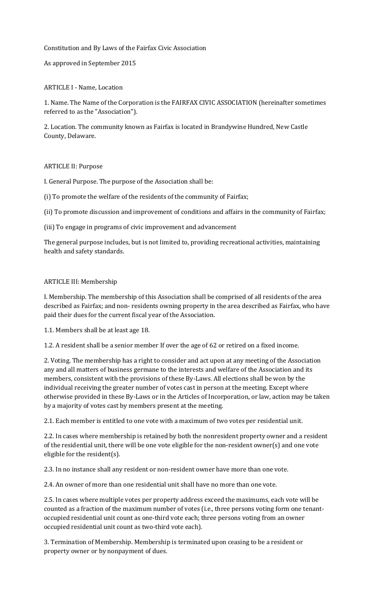# Constitution and By Laws of the Fairfax Civic Association

## As approved in September 2015

# ARTICLE I - Name, Location

1. Name. The Name of the Corporation is the FAIRFAX CIVIC ASSOCIATION (hereinafter sometimes referred to as the "Association").

2. Location. The community known as Fairfax is located in Brandywine Hundred, New Castle County, Delaware.

#### ARTICLE II: Purpose

I. General Purpose. The purpose of the Association shall be:

(i) To promote the welfare of the residents of the community of Fairfax;

(ii) To promote discussion and improvement of conditions and affairs in the community of Fairfax;

(iii) To engage in programs of civic improvement and advancement

The general purpose includes, but is not limited to, providing recreational activities, maintaining health and safety standards.

## ARTICLE III: Membership

I. Membership. The membership of this Association shall be comprised of all residents of the area described as Fairfax; and non- residents owning property in the area described as Fairfax, who have paid their dues for the current fiscal year of the Association.

1.1. Members shall be at least age 18.

1.2. A resident shall be a senior member If over the age of 62 or retired on a fixed income.

2. Voting. The membership has a right to consider and act upon at any meeting of the Association any and all matters of business germane to the interests and welfare of the Association and its members, consistent with the provisions of these By-Laws. All elections shall be won by the individual receiving the greater number of votes cast in person at the meeting. Except where otherwise provided in these By-Laws or in the Articles of Incorporation, or law, action may be taken by a majority of votes cast by members present at the meeting.

2.1. Each member is entitled to one vote with a maximum of two votes per residential unit.

2.2. In cases where membership is retained by both the nonresident property owner and a resident of the residential unit, there will be one vote eligible for the non-resident owner(s) and one vote eligible for the resident(s).

2.3. In no instance shall any resident or non-resident owner have more than one vote.

2.4. An owner of more than one residential unit shall have no more than one vote.

2.5. In cases where multiple votes per property address exceed the maximums, each vote will be counted as a fraction of the maximum number of votes (i.e., three persons voting form one tenantoccupied residential unit count as one-third vote each; three persons voting from an owner occupied residential unit count as two-third vote each).

3. Termination of Membership. Membership is terminated upon ceasing to be a resident or property owner or by nonpayment of dues.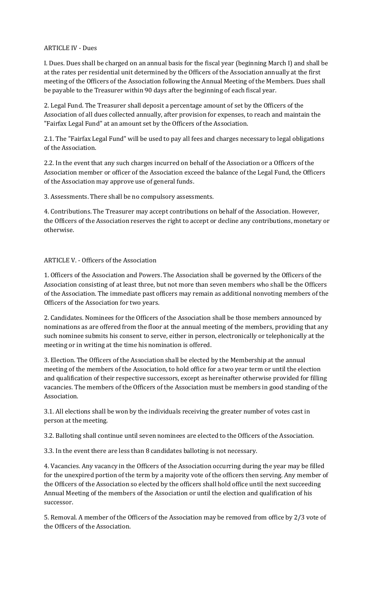## ARTICLE IV - Dues

I. Dues. Dues shall be charged on an annual basis for the fiscal year (beginning March I) and shall be at the rates per residential unit determined by the Officers of the Association annually at the first meeting of the Officers of the Association following the Annual Meeting of the Members. Dues shall be payable to the Treasurer within 90 days after the beginning of each fiscal year.

2. Legal Fund. The Treasurer shall deposit a percentage amount of set by the Officers of the Association of all dues collected annually, after provision for expenses, to reach and maintain the "Fairfax Legal Fund" at an amount set by the Officers of the Association.

2.1. The "Fairfax Legal Fund" will be used to pay all fees and charges necessary to legal obligations of the Association.

2.2. In the event that any such charges incurred on behalf of the Association or a Officers of the Association member or officer of the Association exceed the balance of the Legal Fund, the Officers of the Association may approve use of general funds.

3. Assessments. There shall be no compulsory assessments.

4. Contributions. The Treasurer may accept contributions on behalf of the Association. However, the Officers of the Association reserves the right to accept or decline any contributions, monetary or otherwise.

#### ARTICLE V. - Officers of the Association

1. Officers of the Association and Powers. The Association shall be governed by the Officers of the Association consisting of at least three, but not more than seven members who shall be the Officers of the Association. The immediate past officers may remain as additional nonvoting members of the Officers of the Association for two years.

2. Candidates. Nominees for the Officers of the Association shall be those members announced by nominations as are offered from the floor at the annual meeting of the members, providing that any such nominee submits his consent to serve, either in person, electronically or telephonically at the meeting or in writing at the time his nomination is offered.

3. Election. The Officers of the Association shall be elected by the Membership at the annual meeting of the members of the Association, to hold office for a two year term or until the election and qualification of their respective successors, except as hereinafter otherwise provided for filling vacancies. The members of the Officers of the Association must be members in good standing of the Association.

3.1. All elections shall be won by the individuals receiving the greater number of votes cast in person at the meeting.

3.2. Balloting shall continue until seven nominees are elected to the Officers of the Association.

3.3. In the event there are less than 8 candidates balloting is not necessary.

4. Vacancies. Any vacancy in the Officers of the Association occurring during the year may be filled for the unexpired portion of the term by a majority vote of the officers then serving. Any member of the Officers of the Association so elected by the officers shall hold office until the next succeeding Annual Meeting of the members of the Association or until the election and qualification of his successor.

5. Removal. A member of the Officers of the Association may be removed from office by 2/3 vote of the Officers of the Association.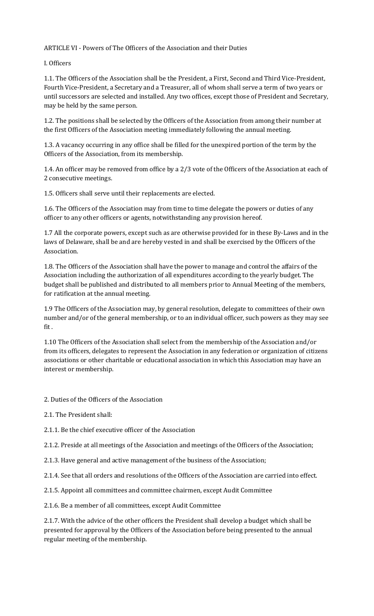ARTICLE VI - Powers of The Officers of the Association and their Duties

I. Officers

1.1. The Officers of the Association shall be the President, a First, Second and Third Vice-President, Fourth Vice-President, a Secretary and a Treasurer, all of whom shall serve a term of two years or until successors are selected and installed. Any two offices, except those of President and Secretary, may be held by the same person.

1.2. The positions shall be selected by the Officers of the Association from among their number at the first Officers of the Association meeting immediately following the annual meeting.

1.3. A vacancy occurring in any office shall be filled for the unexpired portion of the term by the Officers of the Association, from its membership.

1.4. An officer may be removed from office by a 2/3 vote of the Officers of the Association at each of 2 consecutive meetings.

1.5. Officers shall serve until their replacements are elected.

1.6. The Officers of the Association may from time to time delegate the powers or duties of any officer to any other officers or agents, notwithstanding any provision hereof.

1.7 All the corporate powers, except such as are otherwise provided for in these By-Laws and in the laws of Delaware, shall be and are hereby vested in and shall be exercised by the Officers of the Association.

1.8. The Officers of the Association shall have the power to manage and control the affairs of the Association including the authorization of all expenditures according to the yearly budget. The budget shall be published and distributed to all members prior to Annual Meeting of the members, for ratification at the annual meeting.

1.9 The Officers of the Association may, by general resolution, delegate to committees of their own number and/or of the general membership, or to an individual officer, such powers as they may see fit .

1.10 The Officers of the Association shall select from the membership of the Association and/or from its officers, delegates to represent the Association in any federation or organization of citizens associations or other charitable or educational association in which this Association may have an interest or membership.

2. Duties of the Officers of the Association

2.1. The President shall:

2.1.1. Be the chief executive officer of the Association

2.1.2. Preside at all meetings of the Association and meetings of the Officers of the Association;

- 2.1.3. Have general and active management of the business of the Association;
- 2.1.4. See that all orders and resolutions of the Officers of the Association are carried into effect.
- 2.1.5. Appoint all committees and committee chairmen, except Audit Committee
- 2.1.6. Be a member of all committees, except Audit Committee

2.1.7. With the advice of the other officers the President shall develop a budget which shall be presented for approval by the Officers of the Association before being presented to the annual regular meeting of the membership.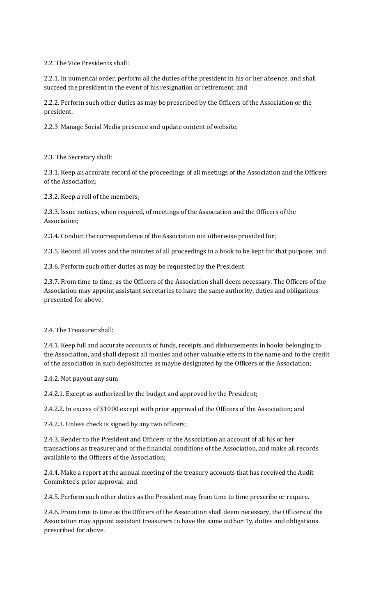2.2. The Vice Presidents shall:

2.2.1. In numerical order, perform all the duties of the president in his or her absence, and shall succeed the president in the event of his resignation or retirement; and

2.2.2. Perform such other duties as may be prescribed by the Officers of the Association or the president.

2.2.3 Manage Social Media presence and update content of website.

2.3. The Secretary shall:

2.3.1. Keep an accurate record of the proceedings of all meetings of the Association and the Officers of the Association;

2.3.2. Keep a roll of the members;

2.3.3. Issue notices, when required, of meetings of the Association and the Officers of the Association;

2.3.4. Conduct the correspondence of the Association not otherwise provided for;

2.3.5. Record all votes and the minutes of all proceedings in a book to be kept for that purpose; and

2.3.6. Perform such other duties as may be requested by the President.

2.3.7. From time to time, as the Officers of the Association shall deem necessary, The Officers of the Association may appoint assistant secretaries to have the same authority, duties and obligations presented for above.

2.4. The Treasurer shall:

2.4.1. Keep full and accurate accounts of funds, receipts and disbursements in books belonging to the Association, and shall deposit all monies and other valuable effects in the name and to the credit of the association in such depositories as maybe designated by the Officers of the Association;

2.4.2. Not payout any sum

2.4.2.1. Except as authorized by the budget and approved by the President;

2.4.2.2. In excess of \$1000 except with prior approval of the Officers of the Association; and

2.4.2.3. Unless check is signed by any two officers;

2.4.3. Render to the President and Officers of the Association an account of all his or her transactions as treasurer and of the financial conditions of the Association, and make all records available to the Officers of the Association;

2.4.4. Make a report at the annual meeting of the treasury accounts that has received the Audit Committee's prior approval; and

2.4.5. Perform such other duties as the President may from time to time prescribe or require.

2.4.6. From time to time as the Officers of the Association shall deem necessary, the Officers of the Association may appoint assistant treasurers to have the same authori1y, duties and obligations prescribed for above.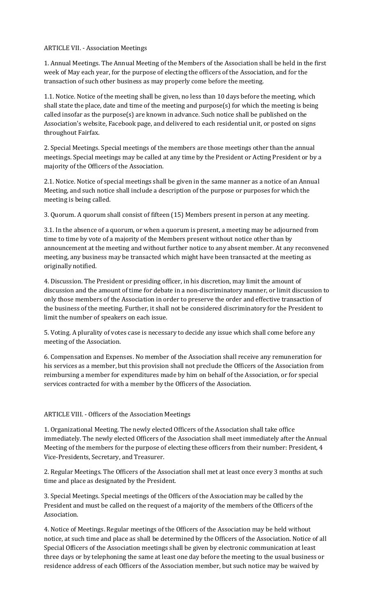## ARTICLE VII. - Association Meetings

1. Annual Meetings. The Annual Meeting of the Members of the Association shall be held in the first week of May each year, for the purpose of electing the officers of the Association, and for the transaction of such other business as may properly come before the meeting.

1.1. Notice. Notice of the meeting shall be given, no less than 10 days before the meeting, which shall state the place, date and time of the meeting and purpose(s) for which the meeting is being called insofar as the purpose(s) are known in advance. Such notice shall be published on the Association's website, Facebook page, and delivered to each residential unit, or posted on signs throughout Fairfax.

2. Special Meetings. Special meetings of the members are those meetings other than the annual meetings. Special meetings may be called at any time by the President or Acting President or by a majority of the Officers of the Association.

2.1. Notice. Notice of special meetings shall be given in the same manner as a notice of an Annual Meeting, and such notice shall include a description of the purpose or purposes for which the meeting is being called.

3. Quorum. A quorum shall consist of fifteen (15) Members present in person at any meeting.

3.1. In the absence of a quorum, or when a quorum is present, a meeting may be adjourned from time to time by vote of a majority of the Members present without notice other than by announcement at the meeting and without further notice to any absent member. At any reconvened meeting, any business may be transacted which might have been transacted at the meeting as originally notified.

4. Discussion. The President or presiding officer, in his discretion, may limit the amount of discussion and the amount of time for debate in a non-discriminatory manner, or limit discussion to only those members of the Association in order to preserve the order and effective transaction of the business of the meeting. Further, it shall not be considered discriminatory for the President to limit the number of speakers on each issue.

5. Voting. A plurality of votes case is necessary to decide any issue which shall come before any meeting of the Association.

6. Compensation and Expenses. No member of the Association shall receive any remuneration for his services as a member, but this provision shall not preclude the Officers of the Association from reimbursing a member for expenditures made by him on behalf of the Association, or for special services contracted for with a member by the Officers of the Association.

## ARTICLE VIII. - Officers of the Association Meetings

1. Organizational Meeting. The newly elected Officers of the Association shall take office immediately. The newly elected Officers of the Association shall meet immediately after the Annual Meeting of the members for the purpose of electing these officers from their number: President, 4 Vice-Presidents, Secretary, and Treasurer.

2. Regular Meetings. The Officers of the Association shall met at least once every 3 months at such time and place as designated by the President.

3. Special Meetings. Special meetings of the Officers of the Association may be called by the President and must be called on the request of a majority of the members of the Officers of the Association.

4. Notice of Meetings. Regular meetings of the Officers of the Association may be held without notice, at such time and place as shall be determined by the Officers of the Association. Notice of all Special Officers of the Association meetings shall be given by electronic communication at least three days or by telephoning the same at least one day before the meeting to the usual business or residence address of each Officers of the Association member, but such notice may be waived by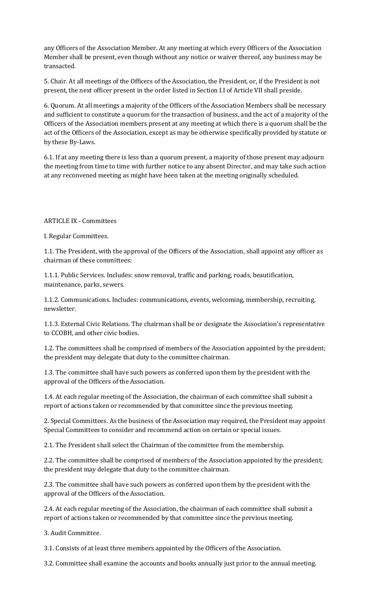any Officers of the Association Member. At any meeting at which every Officers of the Association Member shall be present, even though without any notice or waiver thereof, any business may be transacted.

5. Chair. At all meetings of the Officers of the Association, the President, or, if the President is not present, the next officer present in the order listed in Section I.I of Article VII shall preside.

6. Quorum. At all meetings a majority of the Officers of the Association Members shall be necessary and sufficient to constitute a quorum for the transaction of business, and the act of a majority of the Officers of the Association members present at any meeting at which there is a quorum shall be the act of the Officers of the Association, except as may be otherwise specifically provided by statute or by these By-Laws.

6.1. If at any meeting there is less than a quorum present, a majority of those present may adjourn the meeting from time to time with further notice to any absent Director, and may take such action at any reconvened meeting as might have been taken at the meeting originally scheduled.

#### ARTICLE IX - Committees

I. Regular Committees.

1.1. The President, with the approval of the Officers of the Association, shall appoint any officer as chairman of these committees:

1.1.1. Public Services. Includes: snow removal, traffic and parking, roads, beautification, maintenance, parks, sewers.

1.1.2. Communications. Includes: communications, events, welcoming, membership, recruiting, newsletter.

1.1.3. External Civic Relations. The chairman shall be or designate the Association's representative to CCOBH, and other civic bodies.

1.2. The committees shall be comprised of members of the Association appointed by the president; the president may delegate that duty to the committee chairman.

1.3. The committee shall have such powers as conferred upon them by the president with the approval of the Officers of the Association.

1.4. At each regular meeting of the Association, the chairman of each committee shall submit a report of actions taken or recommended by that committee since the previous meeting.

2. Special Committees. As the business of the Association may required, the President may appoint Special Committees to consider and recommend action on certain or special issues.

2.1. The President shall select the Chairman of the committee from the membership.

2.2. The committee shall be comprised of members of the Association appointed by the president; the president may delegate that duty to the committee chairman.

2.3. The committee shall have such powers as conferred upon them by the president with the approval of the Officers of the Association.

2.4. At each regular meeting of the Association, the chairman of each committee shall submit a report of actions taken or recommended by that committee since the previous meeting.

3. Audit Committee.

3.1. Consists of at least three members appointed by the Officers of the Association.

3.2. Committee shall examine the accounts and books annually just prior to the annual meeting.